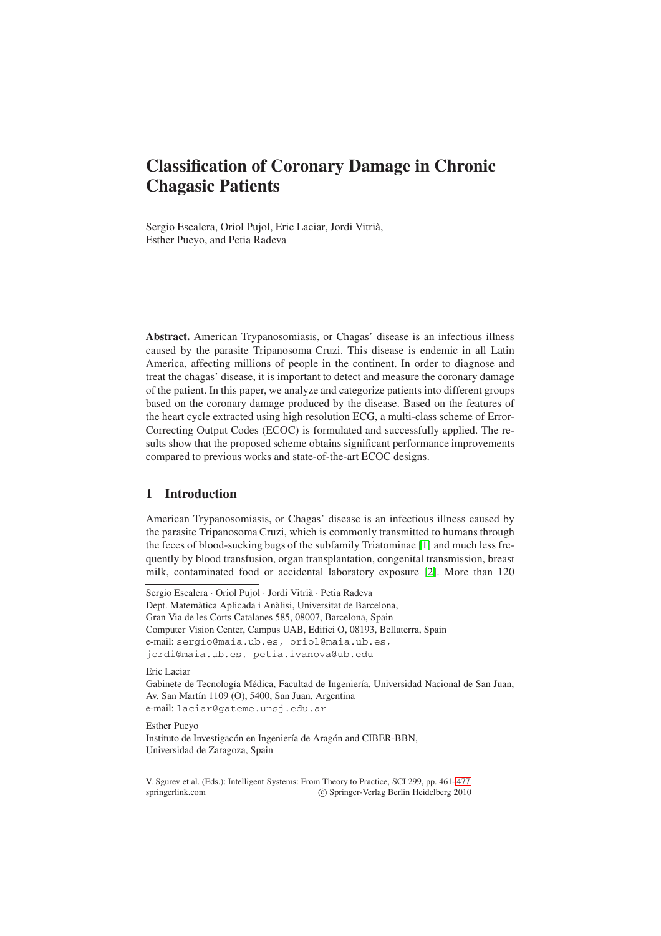# **Classification of Coronary Damage in Chronic Chagasic Patients**

Sergio Escalera, Oriol Pujol, Eric Laciar, Jordi Vitrià, Esther Pueyo, and Petia Radeva

**Abstract.** American Trypanosomiasis, or Chagas' disease is an infectious illness caused by the parasite Tripanosoma Cruzi. This disease is endemic in all Latin America, affecting millions of people in the continent. In order to diagnose and treat the chagas' disease, it is important to detect and measure the coronary damage of the patient. In this paper, we analyze and categorize patients into different groups based on the coronary damage produced by the disease. Based on the features of the heart cycle extracted using high resolution ECG, a multi-class scheme of Error-Correcting Output Codes (ECOC) is formulated and successfully applied. The results show that the proposed scheme obtains significant performance improvements compared to previous works and state-of-the-art ECOC designs.

# **1 Introduction**

American Trypanosomiasis, or Chagas' disease is an infectious illness caused by the parasite Tripanosoma Cruzi, which is commonly transmitted to humans through the feces of blood-sucking bugs of the subfamily Triatominae [1] and much less frequently by blood transfusion, organ transplantation, congenital transmission, breast milk, contaminated food or accidental laboratory exposure [2]. More than 120

Sergio Escalera · Oriol Pujol · Jordi Vitrià · Petia Radeva Dept. Matemàtica Aplicada i Anàlisi, Universitat de Barcelona, Gran Via de les Corts Catalanes 585, 08007, Barcelona, Spain Computer Vision Center, Campus UAB, Edifici O, 08193, Bellaterra, [Sp](#page-14-0)ain e-mail: sergio@maia.ub.es, oriol@maia.ub.es, jordi@maia.ub.es, petia.ivanova@ub.edu

Eric Laciar

Gabinete de Tecnología Médica, Facultad de Ingeniería, Universidad Nacional de San Juan, Av. San Martín 1109 (O), 5400, San Juan, Argentina e-mail: laciar@gateme.unsj.edu.ar

Esther Pueyo Instituto de Investigacón en Ingeniería de Aragón and CIBER-BBN, Universidad de Zaragoza, Spain

V. Sgurev et al. (Eds.): Intelligent Systems: From Theory to Practice, SCI 299, pp. 461–477. springerlink.com c Springer-Verlag Berlin Heidelberg 2010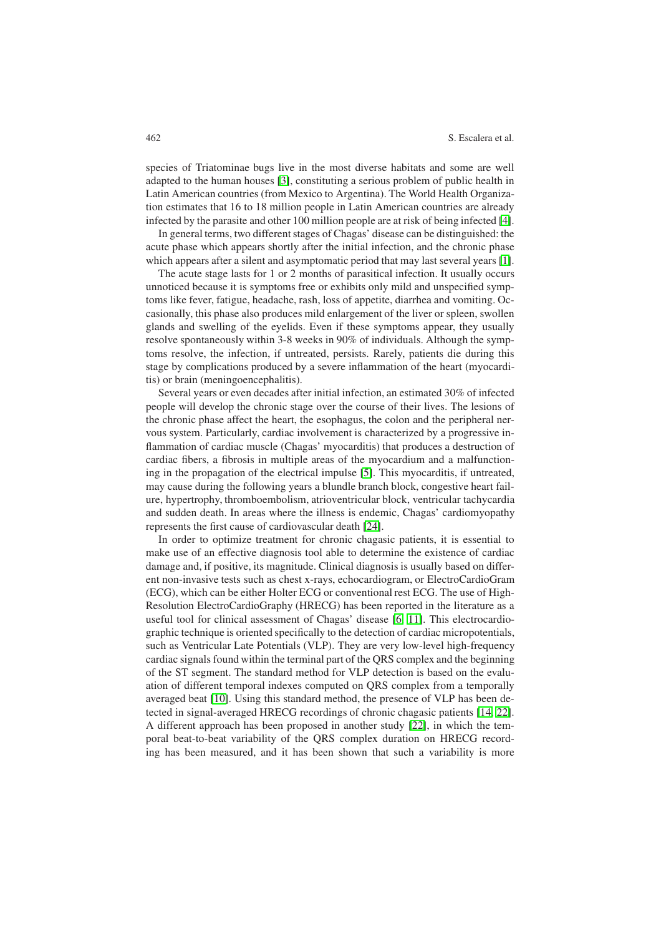species of Triatominae bugs live in the most diverse habitats and some are well adapted to the human houses [3], constituting a serious problem of public health in Latin American countries (from Mexico to Argentina). The World Health Organization estimates that 16 to 18 million people in Latin American countries are already infected by the parasite and other 100 million people are at risk of being infected [4].

In general terms, two differ[en](#page-14-1)t stages of Chagas' disease can be distinguished: the acute phase which appears shortly after the initial infection, and the chronic phase which appears after a silent and asymptomatic period that may last several years [1].

The acute stage lasts for 1 or 2 months of parasitical infection. It usually occ[ur](#page-14-2)s unnoticed because it is symptoms free or exhibits only mild and unspecified symptoms like fever, fatigue, headache, rash, loss of appetite, diarrhea and vomiting. Occasionally, this phase also produces mild enlargement of the liver or spleen, swol[len](#page-14-3) glands and swelling of the eyelids. Even if these symptoms appear, they usually resolve spontaneously within 3-8 weeks in 90% of individuals. Although the symptoms resolve, the infection, if untreated, persists. Rarely, patients die during this stage by complications produced by a severe inflammation of the heart (myocarditis) or brain (meningoencephalitis).

Several years or even decades after initial infection, an estimated 30% of infected people will develop the chronic stage over the course of their lives. The lesions of the chronic phase affect the heart, the esophagus, the colon and the peripheral nervous system. Particularly, cardiac involvement is characterized by a progressive inflammation of cardiac muscle (Chagas' myocarditis) that produces a destruction of cardiac fibers, a fibrosis in multiple areas of the myocardium and a malfunctioning in the propagation of the electrical impulse [5]. This myocarditis, if untreated, may cause during the following years a blundle branch block, congestive heart failure, hypertrophy, thromboembolism, atrioventricular block, ventricular tachycardia and sudden death. In areas where the illness is endemic, Chagas' cardiomyopathy represents the first cause of cardiovascular death [\[2](#page-15-0)4].

In order to optimize treatment for chronic chagasic patients, it is essential to make use of an effective diagnosis tool able to determine the existence of cardiac damage and, if positive, its magnitude. Clinical diagnosis is usually based on different non-invasive tests such as chest x-rays, echoc[ardi](#page-15-1)ogram, or ElectroCardioGram (ECG), which can be either Holter ECG or conventional rest ECG. The use of High-Resolution ElectroCardioGraphy (HRECG) has been reported in the literature as a useful tool for clinical assessment of Chagas' disease [6, 11]. This electrocardiographic technique is oriented specifically to the detection of cardiac micropotentials, such as Ventricular Late Potentials (VLP). They are very low-level high-frequency cardiac signals found within the terminal part of the QRS complex and the beginning of the ST segment. The standard method for VLP dete[cti](#page-15-2)[on is](#page-15-3) based on the evaluation of different temporal indexes computed on QRS complex from a temporally averaged beat [10]. Using this standard method, the presence of VLP has been detected in signal-averaged HRECG recordings of chronic chagasic patients [14, 22]. A different approach has been proposed in another study [22], in which the temporal beat-to-beat variability of the QRS complex duration on HRECG recording has been [mea](#page-15-4)sured, and it has been shown that such a variability is more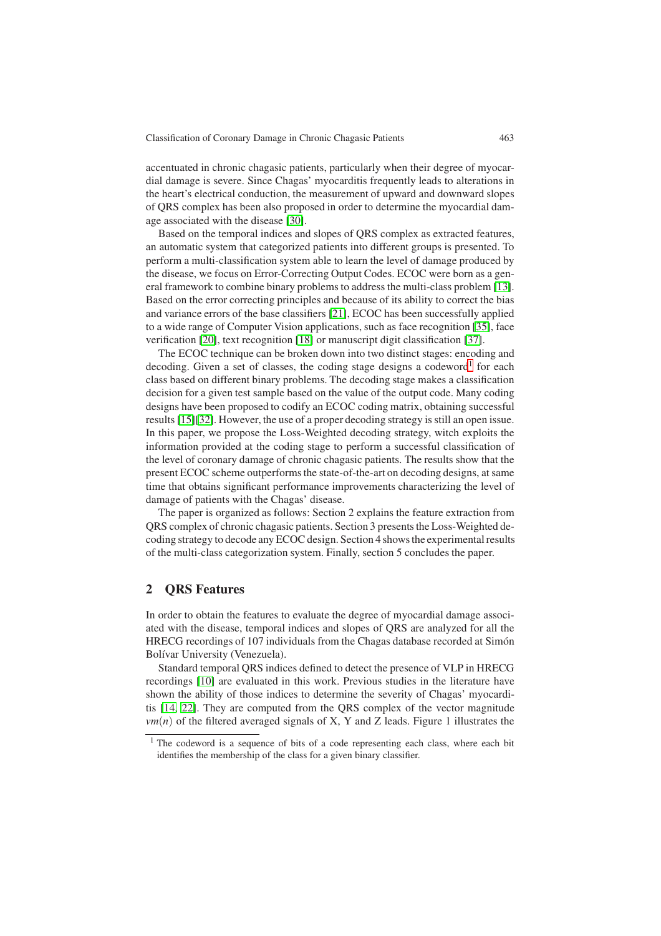accentuated in chronic chagasic patients, particularly when their degree of myocardial damage is severe. Since Chagas' myocarditis frequently leads to alterations in the heart's electrical conduction, the measurement of upward and downward slopes of QRS complex has been also proposed in order to determine the myocardial damage associated with the disease [30].

Based on the temporal indices and slopes of QRS complex as extracted features, an automatic system that categorized patients into different groups is presented. To perform a multi-classification system able to learn the level of damage produced by the disease, we focus on Error-C[orr](#page-16-0)ecting Output Codes. ECOC were born as a general framework to combine binary problems to address the multi-class problem [13]. Based on the error correcting principles and because of its ability to correct the bias and variance errors of the base classifiers [21], ECOC has been successfully applied to a wide range of Computer Vision applications, such as face recognition [35], face verification [20], text recognition [18] or manuscript digit classification [37].

The ECOC technique can be broken down into two distinct stages: encoding and deco[ding](#page-15-5). Given a set of classes, the coding stage designs a codeword<sup>1</sup> for each class based on different binary problems. The decoding stage makes a clas[sific](#page-16-1)ation decision for [a gi](#page-15-6)ven test sample ba[sed](#page-15-7) on the value of the output code. M[any](#page-16-2) coding designs have been proposed to codify an ECOC coding matrix, obtaining successful results [15][32]. However, the use of a proper decoding strategy is still an [op](#page-2-0)en issue. In this paper, we propose the Loss-Weighted decoding strategy, witch exploits the information provided at the coding stage to perform a successful classification of the level of coronary damage of chronic chagasic patients. The results show that the present [EC](#page-15-8)[OC](#page-16-3) scheme outperforms the state-of-the-art on decoding designs, at same time that obtains significant performance improvements characterizing the level of damage of patients with the Chagas' disease.

The paper is organized as follows: Section 2 explains the feature extraction from QRS complex of chronic chagasic patients. Section 3 presents the Loss-Weighted decoding strategy to decode any ECOC design. Section 4 shows the experimental results of the multi-class categorization system. Finally, section 5 concludes the paper.

# **2 QRS Features**

In order to obtain the features to evaluate the degree of myocardial damage associated with the disease, temporal indices and slopes of QRS are analyzed for all the HRECG recordings of 107 individuals from the Chagas database recorded at Simón Bolívar University (Venezuela).

Standard temporal QRS indices defined to detect the presence of VLP in HRECG recordings [10] are evaluated in this work. Previous studies in the literature have shown the ability of those indices to determine the severity of Chagas' myocarditis [14, 22]. They are computed from the QRS complex of the vector magnitude  $vm(n)$  of the filtered averaged signals of X, Y and Z leads. Figure 1 illustrates the

<span id="page-2-0"></span>The code[word](#page-15-4) is a sequence of bits of a code representing each class, where each bit i[dent](#page-15-9)i[fies](#page-15-10) the membership of the class for a given binary classifier.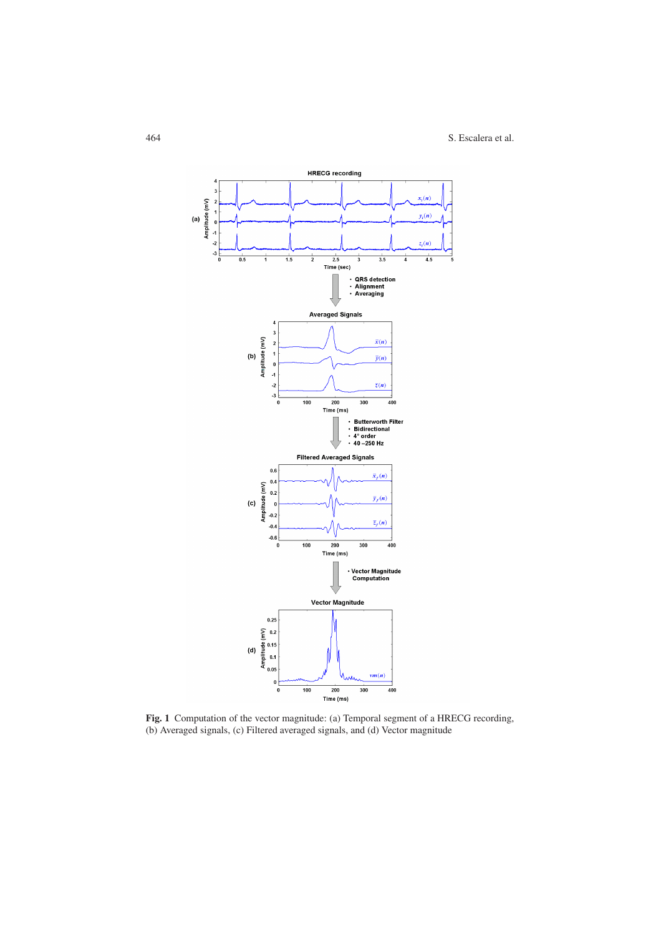

<span id="page-3-0"></span>**Fig. 1** Computation of the vector magnitude: (a) Temporal segment of a HRECG recording, (b) Averaged signals, (c) Filtered averaged signals, and (d) Vector magnitude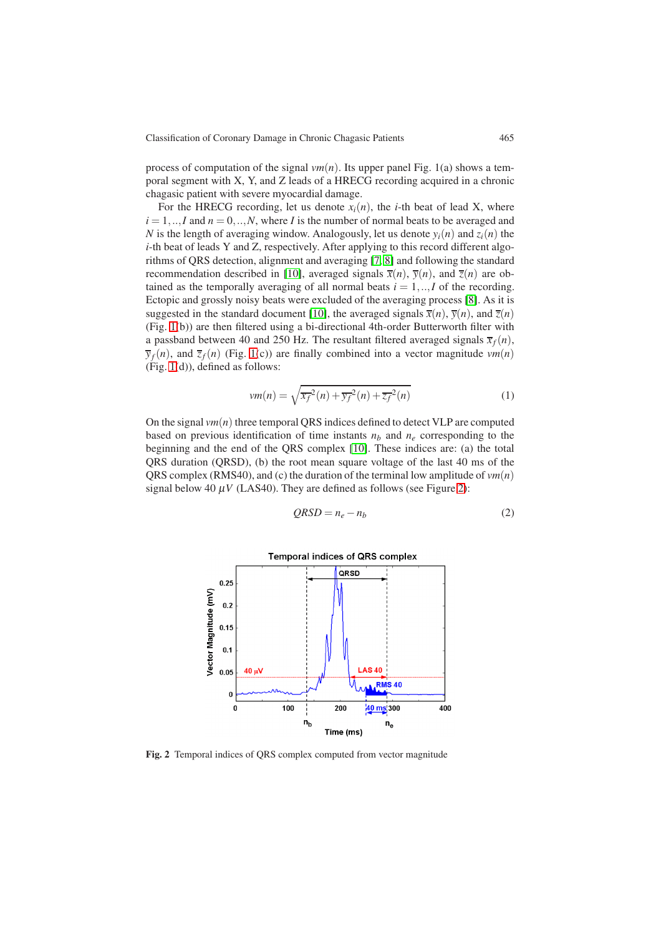process of computation of the signal  $vm(n)$ . Its upper panel Fig. 1(a) shows a temporal segment with X, Y, and Z leads of a HRECG recording acquired in a chronic chagasic patient with severe myocardial damage.

For the HRECG recording, let us denote  $x_i(n)$ , the *i*-th beat of lead X, where  $i = 1, \ldots, I$  and  $n = 0, \ldots, N$ , where *I* is the number of normal beats to be averaged and *N* is the length of averaging window. Analogously, let us denote  $y_i(n)$  and  $z_i(n)$  the *i*-th beat of leads Y and Z, respectively. After applying to this record different algorithms of QRS detection, alignment and averaging [7, 8] and following the standard recommendation described in [10], averaged signals  $\bar{x}(n)$ ,  $\bar{y}(n)$ , and  $\bar{z}(n)$  are obtained as the temporally averaging of all normal beats  $i = 1, \ldots, I$  of the recording. Ectopic and grossly noisy beats were excluded of the averaging process [8]. As it is suggested in the standard document [10], the aver[age](#page-15-11)[d](#page-15-12) signals  $\bar{x}(n)$ ,  $\bar{y}(n)$ , and  $\bar{z}(n)$ (Fig. 1(b)) are then filtered usi[ng a](#page-15-4) bi-directional 4th-order Butterworth filter with a passband between 40 and 250 Hz. The resultant filtered averaged signals  $\bar{x}_f(n)$ ,  $\bar{y}_f(n)$ , and  $\bar{z}_f(n)$  (Fig. 1(c)) are finally combined into a vector magnit[ud](#page-15-12)e *vm*(*n*)  $(Fig. 1(d))$ , defined as follows:

$$
vm(n) = \sqrt{\overline{x_f}^2(n) + \overline{y_f}^2(n) + \overline{z_f}^2(n)}
$$
 (1)

On t[he](#page-3-0) signal  $vm(n)$  three temporal QRS indices defined to detect VLP are computed based on previous identification of time instants  $n_b$  and  $n_e$  corresponding to the beginning and the end of the QRS complex [10]. These indices are: (a) the total QRS duration (QRSD), (b) the root mean square voltage of the last 40 ms of the QRS complex (RMS40), and (c) the duration of the terminal low amplitude of *vm*(*n*) signal below 40  $\mu$ V (LAS40). They are defined as follows (see Figure 2):

$$
QRSD = n_e - n_b \tag{2}
$$



**Fig. 2** Temporal indices of QRS complex computed from vector magnitude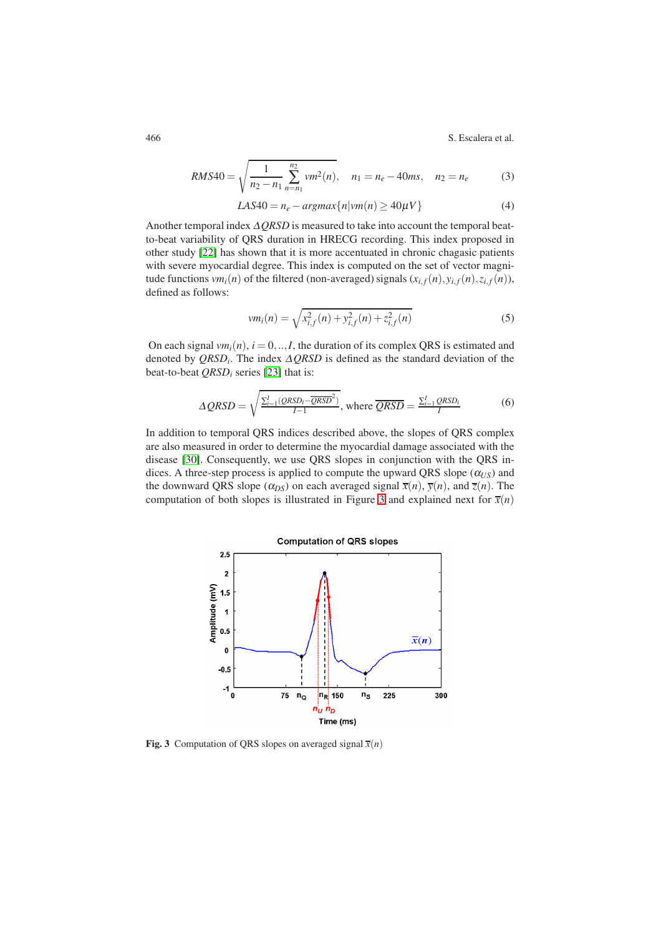466 S. Escalera et al.

$$
RMS40 = \sqrt{\frac{1}{n_2 - n_1} \sum_{n=n_1}^{n_2} \nu m^2(n)}, \quad n_1 = n_e - 40ms, \quad n_2 = n_e \tag{3}
$$

$$
LAS40 = n_e - argmax\{n|vm(n) \ge 40\mu V\}
$$
 (4)

Another temporal index <sup>Δ</sup>*QRSD* is measured to take into account the temporal beatto-beat variability of QRS duration in HRECG recording. This index proposed in other study [22] has shown that it is more accentuated in chronic chagasic patients with severe myocardial degree. This index is computed on the set of vector magnitude functions  $vm_i(n)$  of the filtered (non-averaged) signals  $(x_{i,f}(n), y_{i,f}(n), z_{i,f}(n))$ , defined as follows:

$$
vm_i(n) = \sqrt{x_{i,f}^2(n) + y_{i,f}^2(n) + z_{i,f}^2(n)}
$$
\n(5)

On each signal  $vm_i(n)$ ,  $i = 0, \ldots, I$ , the duration of its complex QRS is estimated and denoted by  $QRSD_i$ . The index  $\triangle QRSD$  is defined as the standard deviation of the beat-to-beat *QRSDi* series [23] that is:

$$
\Delta QRSD = \sqrt{\frac{\sum_{i=1}^{I} (QRSD_i - \overline{QRSD}^2)}{I-1}}, \text{ where } \overline{QRSD} = \frac{\sum_{i=1}^{I} QRSD_i}{I}
$$
(6)

In addition to temporal Q[RS](#page-15-13) [i](#page-15-13)ndices described above, the slopes of QRS complex are also measured in order to determine the myocardial damage associated with the disease [30]. Consequently, we use QRS slopes in conjunction with the QRS indices. A three-step process is applied to compute the upward QRS slope  $(\alpha_{US})$  and the downward QRS slope ( $\alpha_{DS}$ ) on each averaged signal  $\bar{x}(n)$ ,  $\bar{y}(n)$ , and  $\bar{z}(n)$ . The computation of both slopes is illustrated in Figure 3 and explained next for  $\overline{x}(n)$ 



**Fig. 3** Computation of QRS slopes on averaged signal  $\bar{x}(n)$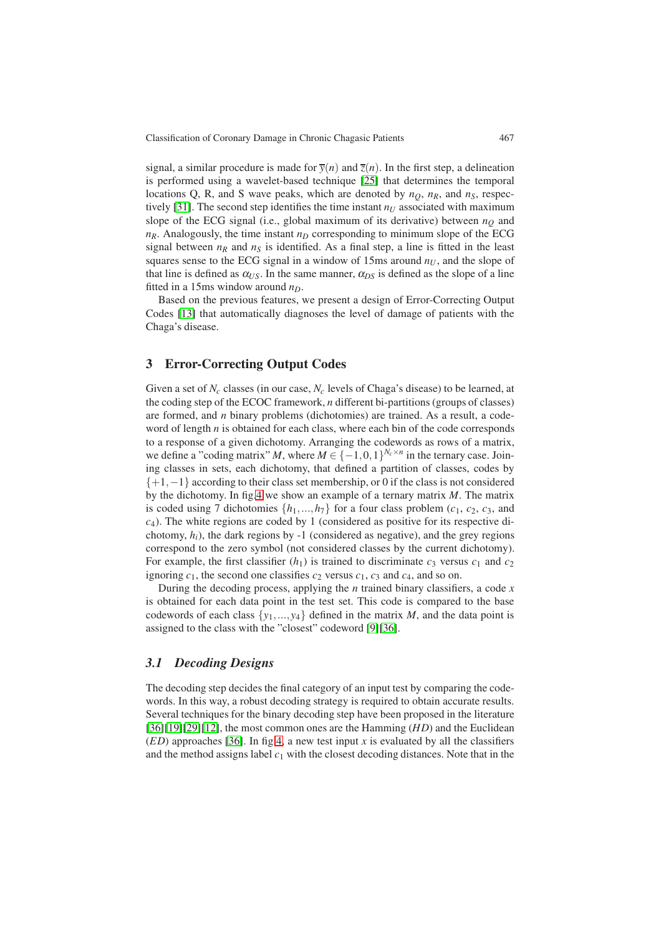signal, a similar procedure is made for  $\bar{v}(n)$  and  $\bar{z}(n)$ . In the first step, a delineation is performed using a wavelet-based technique [25] that determines the temporal locations Q, R, and S wave peaks, which are denoted by  $n_Q$ ,  $n_R$ , and  $n_S$ , respectively [31]. The second step identifies the time instant  $n_U$  associated with maximum slope of the ECG signal (i.e., global maximum of its derivative) between  $n_Q$  and  $n_R$ . Analogously, the time instant  $n_D$  correspond[ing](#page-16-4) to minimum slope of the ECG signal between  $n_R$  and  $n_S$  is identified. As a final step, a line is fitted in the least square[s se](#page-16-5)nse to the ECG signal in a window of 15ms around  $n_U$ , and the slope of that line is defined as  $\alpha_{US}$ . In the same manner,  $\alpha_{DS}$  is defined as the slope of a line fitted in a 15ms window around *nD*.

Based on the previous features, we present a design of Error-Correcting Output Codes [13] that automatically diagnoses the level of damage of patients with the Chaga's disease.

# **3 Er[ror](#page-15-14)-Correcting Output Codes**

Given a set of  $N_c$  classes (in our case,  $N_c$  levels of Chaga's disease) to be learned, at the coding step of the ECOC framework, *n* different bi-partitions (groups of classes) are formed, and *n* binary problems (dichotomies) are trained. As a result, a codeword of length *n* is obtained for each class, where each bin of the code corresponds to a response of a given dichotomy. Arranging the codewords as rows of a matrix, we define a "coding matrix" *M*, where  $M \in \{-1,0,1\}^{N_c \times n}$  in the ternary case. Joining classes in sets, each dichotomy, that defined a partition of classes, codes by {+1*,*−1} according to their class set membership, or 0 if the class is not considered by the dichotomy. In fig.4 we show an example of a ternary matrix *M*. The matrix is coded using 7 dichotomies  $\{h_1, \ldots, h_7\}$  for a four class problem  $(c_1, c_2, c_3,$  and *c*4). The white regions are coded by 1 (considered as positive for its respective dichotomy,  $h_i$ ), the dark regions by  $-1$  (considered as negative), and the grey regions correspond to the zero s[ym](#page-7-0)bol (not considered classes by the current dichotomy). For example, the first classifier  $(h_1)$  is trained to discriminate  $c_3$  versus  $c_1$  and  $c_2$ ignoring  $c_1$ , the second one classifies  $c_2$  versus  $c_1$ ,  $c_3$  and  $c_4$ , and so on.

During the decoding process, applying the *n* trained binary classifiers, a code *x* is obtained for each data point in the test set. This code is compared to the base codewords of each class  $\{y_1, \ldots, y_4\}$  defined in the matrix *M*, and the data point is assigned to the class with the "closest" codeword [9][36].

# *3.1 Decoding Designs*

The decoding step decides the final category of an [inp](#page-15-15)[ut](#page-16-6) [t](#page-16-6)est by comparing the codewords. In this way, a robust decoding strategy is required to obtain accurate results. Several techniques for the binary decoding step have been proposed in the literature [36][19][29][12], the most common ones are the Hamming (*HD*) and the Euclidean (*ED*) approaches [36]. In fig.4, a new test input *x* is evaluated by all the classifiers and the method assigns label  $c_1$  with the closest decoding distances. Note that in the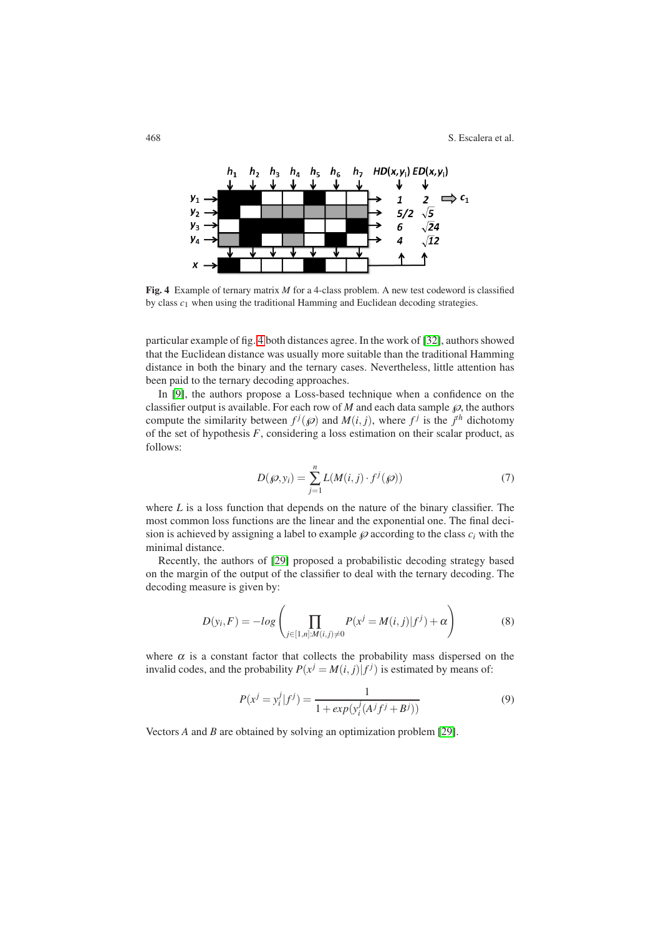

**Fig. 4** Example of ternary matrix *M* for a 4-class problem. A new test codeword is classified by class  $c_1$  when using the traditional Hamming and Euclidean decoding strategies.

<span id="page-7-0"></span>particular example of fig. 4 both distances agree. In the work of [32], authors showed that the Euclidean distance was usually more suitable than the traditional Hamming distance in both the binary and the ternary cases. Nevertheless, little attention has been paid to the ternary decoding approaches.

In [9], the authors pr[op](#page-7-0)ose a Loss-based technique when [a co](#page-16-3)nfidence on the classifier output is available. For each row of *M* and each data sample  $\varnothing$ , the authors compute the similarity between  $f^j(\mathcal{P})$  and  $M(i, j)$ , where  $f^j$  is the  $j<sup>th</sup>$  dichotomy of the set of hypothesis *F*, considering a loss estimation on their scalar product, as follo[ws:](#page-15-15)

$$
D(\wp, y_i) = \sum_{j=1}^{n} L(M(i, j) \cdot f^j(\wp))
$$
\n(7)

where *L* is a loss function that depends on the nature of the binary classifier. The most common loss functions are the linear and the exponential one. The final decision is achieved by assigning a label to example  $\mathcal{D}$  according to the class  $c_i$  with the minimal distance.

Recently, the authors of [29] proposed a probabilistic decoding strategy based on the margin of the output of the classifier to deal with the ternary decoding. The decoding measure is given by:

$$
D(y_i, F) = -log\left(\prod_{j \in [1, n]: M(i, j) \neq 0} P(x^j = M(i, j) | f^j) + \alpha\right)
$$
(8)

where  $\alpha$  is a constant factor that collects the probability mass dispersed on the invalid codes, and the probability  $P(x^j = M(i, j) | f^j)$  is estimated by means of:

$$
P(x^{j} = y_{i}^{j} | f^{j}) = \frac{1}{1 + exp(y_{i}^{j}(A^{j}f^{j} + B^{j}))}
$$
\n(9)

Vectors *A* and *B* are obtained by solving an optimization problem [29].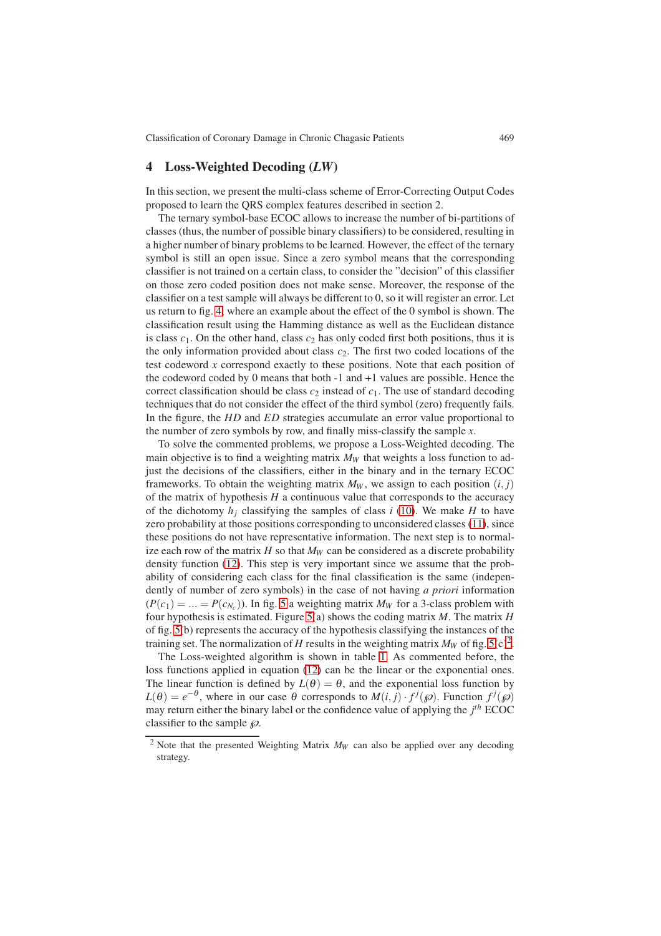### **4 Loss-Weighted Decoding (***LW***)**

In this section, we present the multi-class scheme of Error-Correcting Output Codes proposed to learn the QRS complex features described in section 2.

The ternary symbol-base ECOC allows to increase the number of bi-partitions of classes (thus, the number of possible binary classifiers) to be considered, resulting in a higher number of binary problems to be learned. However, the effect of the ternary symbol is still an open issue. Since a zero symbol means that the corresponding classifier is not trained on a certain class, to consider the "decision" of this classifier on those zero coded position does not make sense. Moreover, the response of the classifier on a test sample will always be different to 0, so it will register an error. Let us return to fig. 4, where an example about the effect of the 0 symbol is shown. The classification result using the Hamming distance as well as the Euclidean distance is class  $c_1$ . On the other hand, class  $c_2$  has only coded first both positions, thus it is the only information provided about class  $c_2$ . The first two coded locations of the test codeword *[x](#page-7-0)* correspond exactly to these positions. Note that each position of the codeword coded by 0 means that both -1 and +1 values are possible. Hence the correct classification should be class  $c_2$  instead of  $c_1$ . The use of standard decoding techniques that do not consider the effect of the third symbol (zero) frequently fails. In the figure, the *HD* and *ED* strategies accumulate an error value proportional to the number of zero symbols by row, and finally miss-classify the sample *x*.

To solve the commented problems, we propose a Loss-Weighted decoding. The main objective is to find a weighting matrix  $M_W$  that weights a loss function to adjust the decisions of the classifiers, either in the binary and in the ternary ECOC frameworks. To obtain the weighting matrix  $M_W$ , we assign to each position  $(i, j)$ of the matrix of hypothesis *H* a continuous value that corresponds to the accuracy of the dichotomy  $h_j$  classifying the samples of class  $i$  (10). We make  $H$  to have zero probability at those positions corresponding to unconsidered classes (11), since these positions do not have representative information. The next step is to normalize each row of the matrix  $H$  so that  $M_W$  can be considered as a discrete probability density function (12). This step is very important since [we](#page-9-0) assume that the probability of considering each class for the final classification is the same [\(ind](#page-9-1)ependently of number of zero symbols) in the case of not having *a priori* information  $(P(c_1) = ... = P(c_{N_c})$ ). In fig. 5 a weighting matrix  $M_W$  for a 3-class problem with four hypothesis is estimated. Figure 5(a) shows the coding matrix *M*. The matrix *H* of fig. 5(b) represents the accuracy of the hypothesis classifying the instances of the training set. The normalization of *H* results in the weighting matrix  $M_W$  of fig. 5(c)<sup>2</sup>.

The Loss-weighted algorit[hm](#page-9-2) is shown in table 1. As commented before, the loss functions applied in equation [\(12](#page-9-2)) can be the linear or the exponential ones. The li[ne](#page-9-2)ar function is defined by  $L(\theta) = \theta$ , and the exponential loss function by  $L(\theta) = e^{-\theta}$ , where in our case  $\theta$  corresponds to  $M(i, j) \cdot f^{j}(\varnothing)$  $M(i, j) \cdot f^{j}(\varnothing)$  $M(i, j) \cdot f^{j}(\varnothing)$ . Function  $f^{j}(\varnothing)$ may return either the binary label or the confidence [val](#page-9-3)ue of applying the *j th* ECOC classifier to the sample  $\wp$ .

<span id="page-8-0"></span><sup>&</sup>lt;sup>2</sup> Note that the presented Weighting Matrix  $M_W$  can also be applied over any decoding strategy.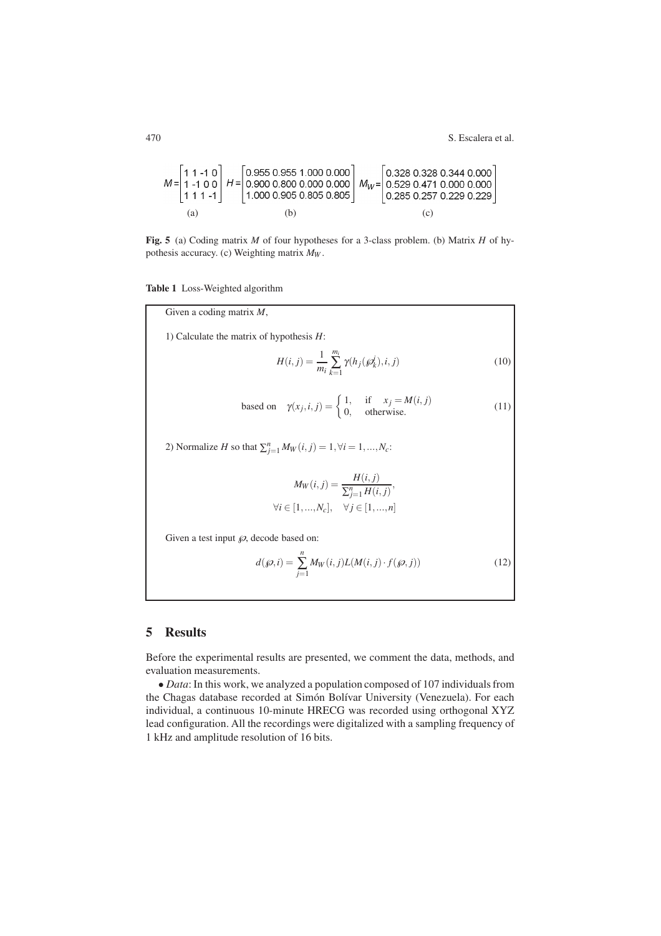$$
M = \begin{bmatrix} 1 & 1 & -1 & 0 \\ 1 & -1 & 0 & 0 \\ 1 & 1 & 1 & -1 \end{bmatrix} \quad H = \begin{bmatrix} 0.955 & 0.955 & 1.000 & 0.000 \\ 0.900 & 0.800 & 0.000 & 0.000 \\ 1.000 & 0.905 & 0.805 & 0.805 \end{bmatrix} \quad M_W = \begin{bmatrix} 0.328 & 0.328 & 0.344 & 0.000 \\ 0.529 & 0.471 & 0.000 & 0.000 \\ 0.285 & 0.257 & 0.229 & 0.229 \end{bmatrix}
$$
\n
$$
(a) \quad (b) \quad (c)
$$

<span id="page-9-2"></span>**Fig. 5** (a) Coding matrix *M* of four hypotheses for a 3-class problem. (b) Matrix *H* of hypothesis accuracy. (c) Weighting matrix *MW* .

**Table 1** Loss-Weighted algorithm

<span id="page-9-3"></span>Given a coding matrix *M*,

1) Calculate the matrix of hypothesis *H*:

<span id="page-9-0"></span>
$$
H(i,j) = \frac{1}{m_i} \sum_{k=1}^{m_i} \gamma(h_j(\mathcal{G}_k^j), i, j)
$$
 (10)

<span id="page-9-1"></span>based on 
$$
\gamma(x_j, i, j) = \begin{cases} 1, & \text{if } x_j = M(i, j) \\ 0, & \text{otherwise.} \end{cases}
$$
 (11)

2) Normalize *H* so that  $\sum_{j=1}^{n} M_W(i, j) = 1, \forall i = 1, ..., N_c$ :

$$
M_W(i, j) = \frac{H(i, j)}{\sum_{j=1}^n H(i, j)},
$$
  

$$
\forall i \in [1, ..., N_c], \quad \forall j \in [1, ..., n]
$$

Given a test input  $\wp$ , decode based on:

$$
d(\wp, i) = \sum_{j=1}^{n} M_W(i, j) L(M(i, j) \cdot f(\wp, j))
$$
\n(12)

# **5 Results**

Before the experimental results are presented, we comment the data, methods, and evaluation measurements.

• *Data*: In this work, we analyzed a population composed of 107 individuals from the Chagas database recorded at Simón Bolívar University (Venezuela). For each individual, a continuous 10-minute HRECG was recorded using orthogonal XYZ lead configuration. All the recordings were digitalized with a sampling frequency of 1 kHz and amplitude resolution of 16 bits.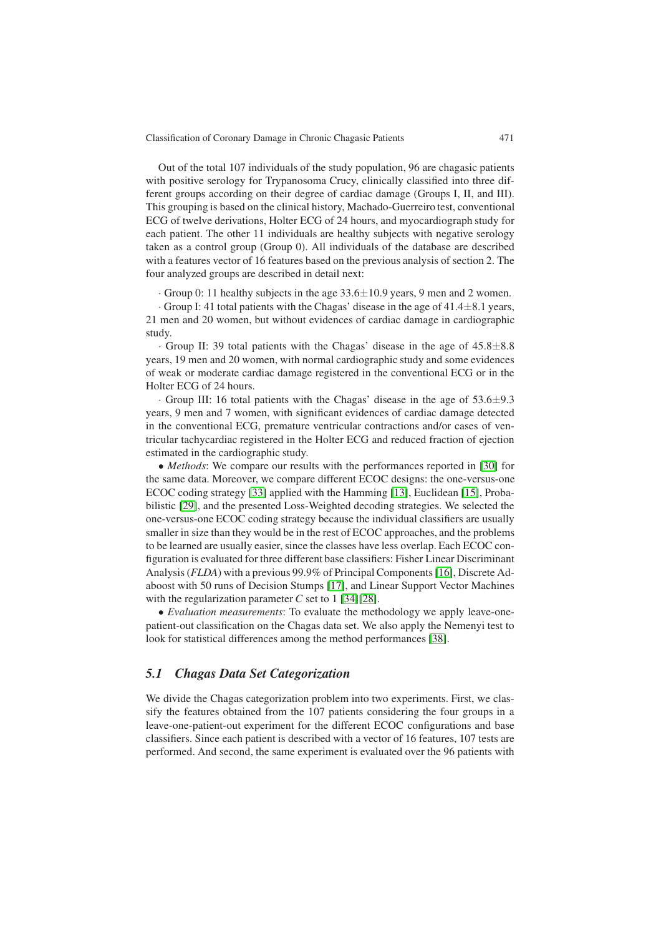Out of the total 107 individuals of the study population, 96 are chagasic patients with positive serology for Trypanosoma Crucy, clinically classified into three different groups according on their degree of cardiac damage (Groups I, II, and III). This grouping is based on the clinical history, Machado-Guerreiro test, conventional ECG of twelve derivations, Holter ECG of 24 hours, and myocardiograph study for each patient. The other 11 individuals are healthy subjects with negative serology taken as a control group (Group 0). All individuals of the database are described with a features vector of 16 features based on the previous analysis of section 2. The four analyzed groups are described in detail next:

 $\cdot$  Group 0: 11 healthy subjects in the age 33.6 $\pm$ 10.9 years, 9 men and 2 women.

 $\cdot$  Group I: 41 total patients with the Chagas' disease in the age of 41.4 $\pm$ 8.1 years, 21 men and 20 women, but without evidences of cardiac damage in cardiographic study.

· Group II: 39 total patients with the Chagas' disease in the age of 45.8±8.8 years, 19 men and 20 women, with normal cardiographic study and some evidences of weak or moderate cardiac damage registered in the conventional ECG or in the Holter ECG of 24 hours.

· Group III: 16 total patients with the Chagas' disease in the age of 53.6±9.3 years, 9 men and 7 women, with significant evidences of cardiac damage detected in the conventional ECG, premature ventricular contractions and/or cases of ventricular tachycardiac registered in the Holter ECG and reduced fraction of ejection estimated in the cardiographic study.

• *Methods*: We compare our results with the performances reported in [30] for the same data. Moreover, we compare different ECOC designs: the one-versus-one ECOC coding strategy [33] applied with the Hamming [13], Euclidean [15], Probabilistic [29], and the presented Loss-Weighted decoding strategies. We selected the one-versus-one ECOC coding strategy because the individual classifiers are [usu](#page-16-0)ally smaller in size than they would be in the rest of ECOC approaches, and the problems to be learned are usuall[y ea](#page-16-8)sier, since the classes have le[ss o](#page-15-14)verlap. Each [EC](#page-15-8)OC configurati[on is](#page-16-7) evaluated for three different base classifiers: Fisher Linear Discriminant Analysis (*FLDA*) with a previous 99.9% of Principal Components [16], Discrete Adaboost with 50 runs of Decision Stumps [17], and Linear Support Vector Machines with the regularization parameter *C* set to 1 [34][28].

• *Evaluation measurements*: To evaluate the methodology we apply leave-onepatient-out classification on the Chagas data set. We also apply th[e N](#page-15-16)emenyi test to look for statistical differences among the [me](#page-15-17)thod performances [38].

# *5.1 Chagas Data Set Categorization*

We divide the Chagas categorization problem into two experim[ents](#page-16-9). First, we classify the features obtained from the 107 patients considering the four groups in a leave-one-patient-out experiment for the different ECOC configurations and base classifiers. Since each patient is described with a vector of 16 features, 107 tests are performed. And second, the same experiment is evaluated over the 96 patients with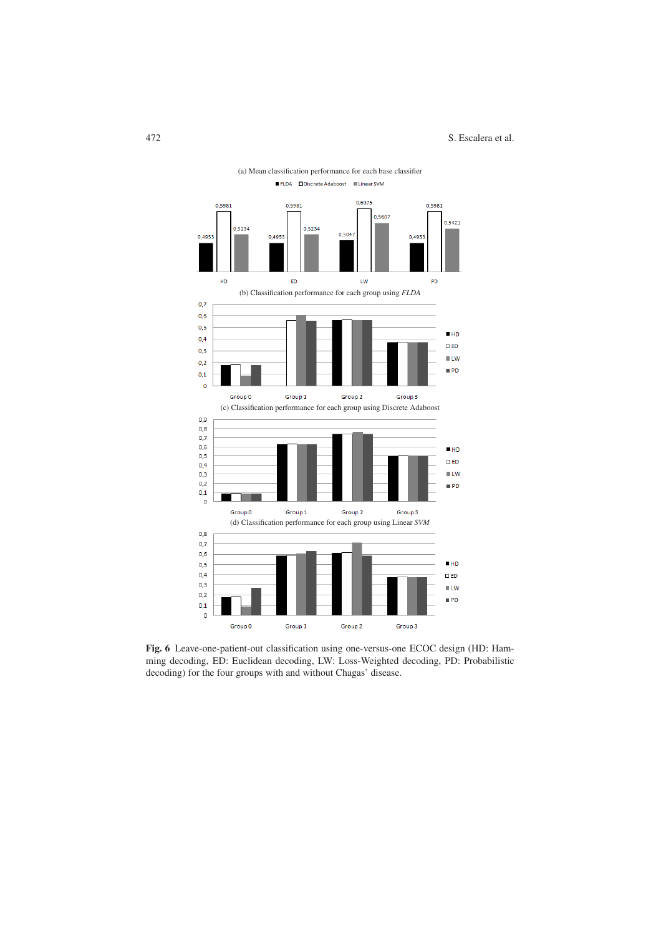

(a) Mean classification performance for each base classifier FLDA **ODiscrete Adaboost** Elinear SVM

<span id="page-11-0"></span>**Fig. 6** Leave-one-patient-out classification using one-versus-one ECOC design (HD: Hamming decoding, ED: Euclidean decoding, LW: Loss-Weighted decoding, PD: Probabilistic decoding) for the four groups with and without Chagas' disease.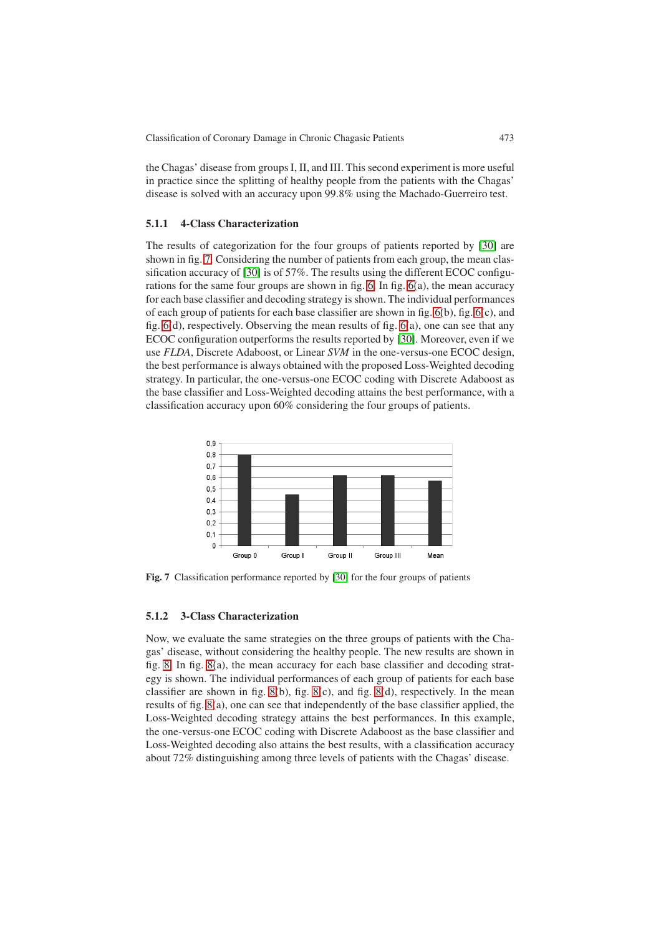the Chagas' disease from groups I, II, and III. This second experiment is more useful in practice since the splitting of healthy people from the patients with the Chagas' disease is solved with an accuracy upon 99.8% using the Machado-Guerreiro test.

### **5.1.1 4-Class Characterization**

The results of categorization for the four groups of patients reported by [30] are shown in fig. 7. Considering the number of patients from each group, the mean classification accuracy of [30] is of 57%. The results using the different ECOC configurations for the same four groups are shown in fig. 6. In fig. 6(a), the mean accuracy for each base classifier and decoding strategy is shown. The individual perfo[rma](#page-16-0)nces of each grou[p o](#page-12-0)f patients for each base classifier are shown in fig. 6(b), fig. 6(c), and fig. 6(d), respectively. [Ob](#page-16-0)serving the mean results of fig. 6(a), one can see that any ECOC configuration outperforms the results repo[rte](#page-11-0)d by [3[0\].](#page-11-0) Moreover, even if we use *FLDA*, Discrete Adaboost, or Linear *SVM* in the one-versus-one ECOC design, the best performance is always obtained with the proposed Loss-[We](#page-11-0)ighted [de](#page-11-0)coding stra[teg](#page-11-0)y. In particular, the one-versus-one ECOC coding [wi](#page-11-0)th Discrete Adaboost as the base classifier and Loss-Weighted decoding attains th[e be](#page-16-0)st performance, with a classification accuracy upon 60% considering the four groups of patients.



**Fig. 7** Classification performance reported by [30] for the four groups of patients

#### **5.1.2 3-Class Characterization**

<span id="page-12-0"></span>Now, we evaluate the same strategies on t[he](#page-16-0) [t](#page-16-0)hree groups of patients with the Chagas' disease, without considering the healthy people. The new results are shown in fig. 8. In fig. 8(a), the mean accuracy for each base classifier and decoding strategy is shown. The individual performances of each group of patients for each base classifier are shown in fig.  $8(b)$ , fig.  $8(c)$ , and fig.  $8(d)$ , respectively. In the mean results of fig. 8(a), one can see that independently of the base classifier applied, the Los[s-W](#page-13-0)eight[ed](#page-13-0) decoding strategy attains the best performances. In this example, the one-versus-one ECOC coding with Discrete Adaboost as the base classifier and Loss-Weighted decoding al[so](#page-13-0) attains [th](#page-13-0)e best result[s,](#page-13-0) with a classification accuracy about 72% di[sti](#page-13-0)nguishing among three levels of patients with the Chagas' disease.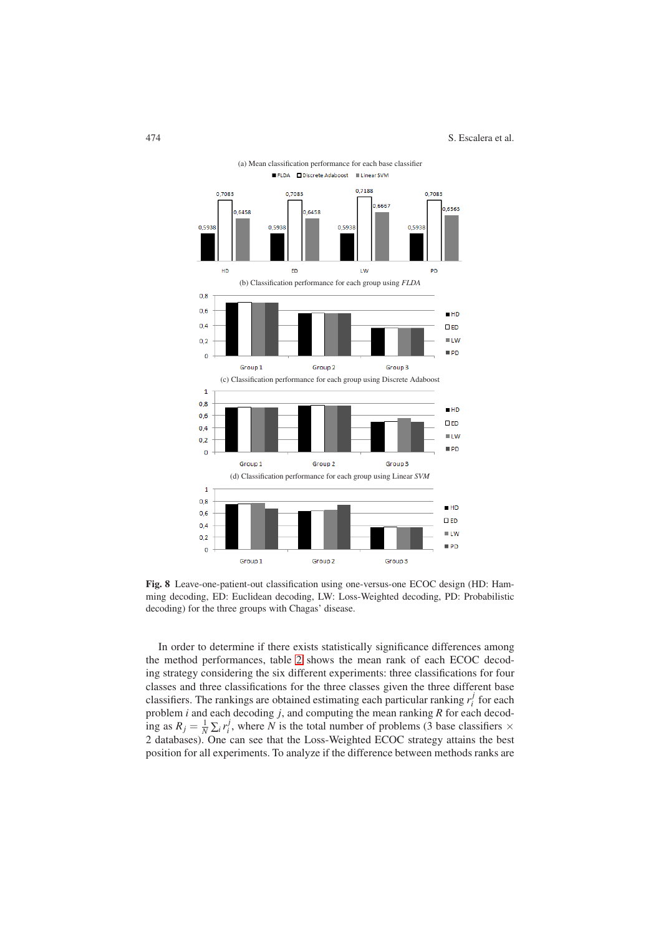

(a) Mean classification performance for each base classifier ■ FLDA □ Discrete Adaboost ■ Linear SVM

**Fig. 8** Leave-one-patient-out classification using one-versus-one ECOC design (HD: Hamming decoding, ED: Euclidean decoding, LW: Loss-Weighted decoding, PD: Probabilistic decoding) for the three groups with Chagas' disease.

<span id="page-13-0"></span>In order to determine if there exists statistically significance differences among the method performances, table 2 shows the mean rank of each ECOC decoding strategy considering the six different experiments: three classifications for four classes and three classifications for the three classes given the three different base classifiers. The rankings are obtained estimating each particular ranking  $r_i^j$  for each problem *i* and each decoding *j*, a[nd](#page-14-4) computing the mean ranking *R* for each decoding as  $R_j = \frac{1}{N} \sum_i r_i^j$ , where *N* is the total number of problems (3 base classifiers  $\times$ 2 databases). One can see that the Loss-Weighted ECOC strategy attains the best position for all experiments. To analyze if the difference between methods ranks are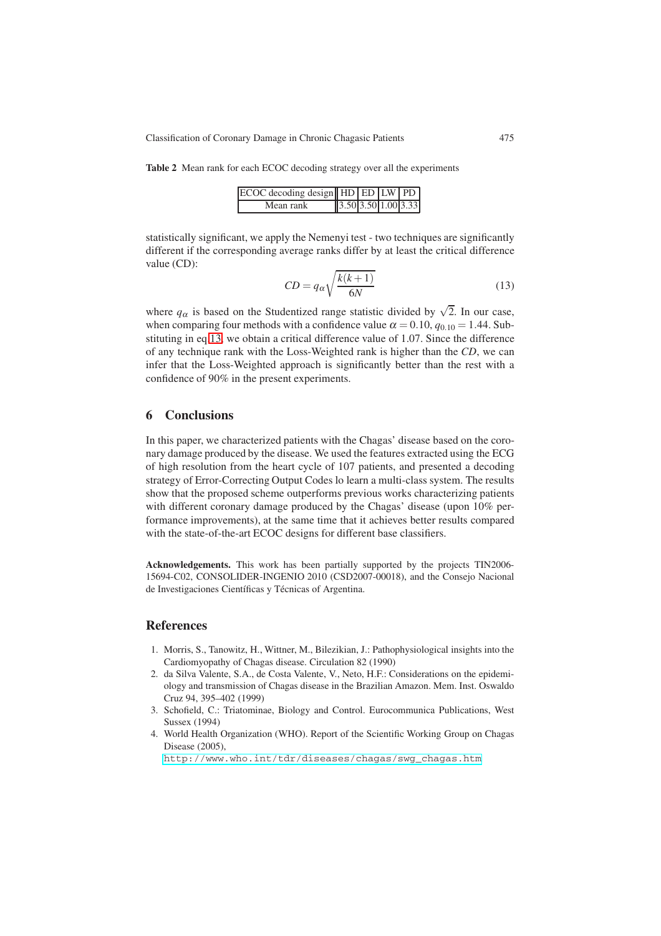**Table 2** Mean rank for each ECOC decoding strategy over all the experiments

| ECOC decoding design HD ED LW PD |                       |  |  |
|----------------------------------|-----------------------|--|--|
| Mean rank                        | $3.50$ 3.50 1.00 3.33 |  |  |

<span id="page-14-4"></span>statistically significant, we apply the Nemenyi test - two techniques are significantly different if the corresponding average ranks differ by at least the critical difference value (CD):

$$
CD = q_{\alpha} \sqrt{\frac{k(k+1)}{6N}}
$$
 (13)

where  $q_{\alpha}$  is based on the Studentized range statistic divided by  $\sqrt{2}$ . In our case, when comparing four methods with a confidence value  $\alpha = 0.10$ ,  $q_{0.10} = 1.44$ . Substituting in eq.13, we obtain a critical difference value of 1.07. Since the difference of any technique rank with the Loss-Weighted rank is higher than the *CD*, we can infer that the Loss-Weighted approach is significantly better than the rest with a confidence of 90% in the present experiments.

### **6 Conclusions**

In this paper, we characterized patients with the Chagas' disease based on the coronary damage produced by the disease. We used the features extracted using the ECG of high resolution from the heart cycle of 107 patients, and presented a decoding strategy of Error-Correcting Output Codes lo learn a multi-class system. The results show that the proposed scheme outperforms previous works characterizing patients with different coronary damage produced by the Chagas' disease (upon 10% performance improvements), at the same time that it achieves better results compared with the state-of-the-art ECOC designs for different base classifiers.

**Acknowledgements.** This work has been partially supported by the projects TIN2006- 15694-C02, CONSOLIDER-INGENIO 2010 (CSD2007-00018), and the Consejo Nacional de Investigaciones Científicas y Técnicas of Argentina.

# **References**

- 1. Morris, S., Tanowitz, H., Wittner, M., Bilezikian, J.: Pathophysiological insights into the Cardiomyopathy of Chagas disease. Circulation 82 (1990)
- 2. da Silva Valente, S.A., de Costa Valente, V., Neto, H.F.: Considerations on the epidemiology and transmission of Chagas disease in the Brazilian Amazon. Mem. Inst. Oswaldo Cruz 94, 395–402 (1999)
- <span id="page-14-3"></span><span id="page-14-0"></span>3. Schofield, C.: Triatominae, Biology and Control. Eurocommunica Publications, West Sussex (1994)
- 4. World Health Organization (WHO). Report of the Scientific Working Group on Chagas Disease (2005),

<span id="page-14-2"></span><span id="page-14-1"></span>http://www.who.int/tdr/diseases/chagas/swg\_chagas.htm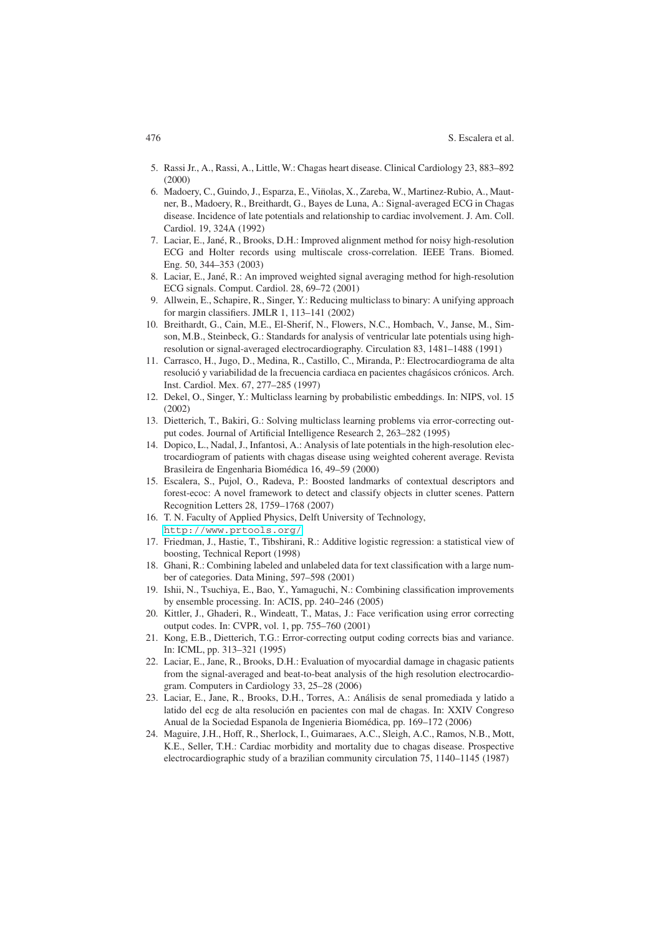- 5. Rassi Jr., A., Rassi, A., Little, W.: Chagas heart disease. Clinical Cardiology 23, 883–892 (2000)
- <span id="page-15-0"></span>6. Madoery, C., Guindo, J., Esparza, E., Viñolas, X., Zareba, W., Martinez-Rubio, A., Mautner, B., Madoery, R., Breithardt, G., Bayes de Luna, A.: Signal-averaged ECG in Chagas disease. Incidence of late potentials and relationship to cardiac involvement. J. Am. Coll. Cardiol. 19, 324A (1992)
- <span id="page-15-2"></span>7. Laciar, E., Jan´e, R., Brooks, D.H.: Improved alignment method for noisy high-resolution ECG and Holter records using multiscale cross-correlation. IEEE Trans. Biomed. Eng. 50, 344–353 (2003)
- <span id="page-15-11"></span>8. Laciar, E., Jan´e, R.: An improved weighted signal averaging method for high-resolution ECG signals. Comput. Cardiol. 28, 69–72 (2001)
- 9. Allwein, E., Schapire, R., Singer, Y.: Reducing multiclass to binary: A unifying approach for margin classifiers. JMLR 1, 113–141 (2002)
- <span id="page-15-12"></span>10. Breithardt, G., Cain, M.E., El-Sherif, N., Flowers, N.C., Hombach, V., Janse, M., Simson, M.B., Steinbeck, G.: Standards for analysis of ventricular late potentials using highresolution or signal-averaged electrocardiography. Circulation 83, 1481–1488 (1991)
- <span id="page-15-15"></span><span id="page-15-4"></span>11. Carrasco, H., Jugo, D., Medina, R., Castillo, C., Miranda, P.: Electrocardiograma de alta resolució y variabilidad de la frecuencia cardiaca en pacientes chagásicos crónicos. Arch. Inst. Cardiol. Mex. 67, 277–285 (1997)
- <span id="page-15-3"></span>12. Dekel, O., Singer, Y.: Multiclass learning by probabilistic embeddings. In: NIPS, vol. 15 (2002)
- 13. Dietterich, T., Bakiri, G.: Solving multiclass learning problems via error-correcting output codes. Journal of Artificial Intelligence Research 2, 263–282 (1995)
- 14. Dopico, L., Nadal, J., Infantosi, A.: Analysis of late potentials in the high-resolution electrocardiogram of patients with chagas disease using weighted coherent average. Revista Brasileira de Engenharia Biomédica 16, 49–59 (2000)
- <span id="page-15-14"></span><span id="page-15-9"></span>15. Escalera, S., Pujol, O., Radeva, P.: Boosted landmarks of contextual descriptors and forest-ecoc: A novel framework to detect and classify objects in clutter scenes. Pattern Recognition Letters 28, 1759–1768 (2007)
- <span id="page-15-8"></span>16. T. N. Faculty of Applied Physics, Delft University of Technology, http://www.prtools.org/
- 17. Friedman, J., Hastie, T., Tibshirani, R.: Additive logistic regression: a statistical view of boosting, Technical Report (1998)
- <span id="page-15-16"></span>18. Ghani, R.: Combining labeled and unlabeled data for text classification with a large number of categories. Data Mining, 597–598 (2001)
- <span id="page-15-17"></span>19. [Ishii,](http://www.prtools.org/) [N.,](http://www.prtools.org/) [Tsuchiya,](http://www.prtools.org/) [E.,](http://www.prtools.org/) [Bao,](http://www.prtools.org/) [Y.,](http://www.prtools.org/) [Yam](http://www.prtools.org/)aguchi, N.: Combining classification improvements by ensemble processing. In: ACIS, pp. 240–246 (2005)
- <span id="page-15-7"></span>20. Kittler, J., Ghaderi, R., Windeatt, T., Matas, J.: Face verification using error correcting output codes. In: CVPR, vol. 1, pp. 755–760 (2001)
- 21. Kong, E.B., Dietterich, T.G.: Error-correcting output coding corrects bias and variance. In: ICML, pp. 313–321 (1995)
- <span id="page-15-6"></span>22. Laciar, E., Jane, R., Brooks, D.H.: Evaluation of myocardial damage in chagasic patients from the signal-averaged and beat-to-beat analysis of the high resolution electrocardiogram. Computers in Cardiology 33, 25–28 (2006)
- <span id="page-15-10"></span><span id="page-15-5"></span>23. Laciar, E., Jane, R., Brooks, D.H., Torres, A.: An´alisis de senal promediada y latido a latido del ecg de alta resolución en pacientes con mal de chagas. In: XXIV Congreso Anual de la Sociedad Espanola de Ingenieria Biomédica, pp. 169-172 (2006)
- <span id="page-15-13"></span><span id="page-15-1"></span>24. Maguire, J.H., Hoff, R., Sherlock, I., Guimaraes, A.C., Sleigh, A.C., Ramos, N.B., Mott, K.E., Seller, T.H.: Cardiac morbidity and mortality due to chagas disease. Prospective electrocardiographic study of a brazilian community circulation 75, 1140–1145 (1987)